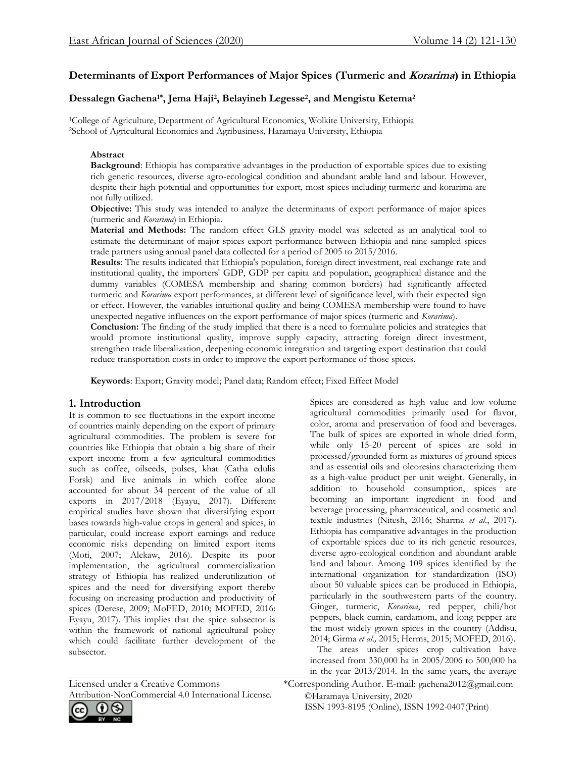# **Determinants of Export Performances of Major Spices (Turmeric and Korarima) in Ethiopia**

# **Dessalegn Gachena1\*, Jema Haji<sup>2</sup> , Belayineh Legesse<sup>2</sup> , and Mengistu Ketema<sup>2</sup>**

<sup>1</sup>College of Agriculture, Department of Agricultural Economics, Wolkite University, Ethiopia <sup>2</sup>School of Agricultural Economics and Agribusiness, Haramaya University, Ethiopia

#### **Abstract**

**Background**: Ethiopia has comparative advantages in the production of exportable spices due to existing rich genetic resources, diverse agro-ecological condition and abundant arable land and labour. However, despite their high potential and opportunities for export, most spices including turmeric and korarima are not fully utilized.

**Objective:** This study was intended to analyze the determinants of export performance of major spices (turmeric and *Korarima*) in Ethiopia.

**Material and Methods:** The random effect GLS gravity model was selected as an analytical tool to estimate the determinant of major spices export performance between Ethiopia and nine sampled spices trade partners using annual panel data collected for a period of 2005 to 2015/2016.

**Results**: The results indicated that Ethiopia's population, foreign direct investment, real exchange rate and institutional quality, the importers' GDP, GDP per capita and population, geographical distance and the dummy variables (COMESA membership and sharing common borders) had significantly affected turmeric and *Korarima* export performances, at different level of significance level, with their expected sign or effect. However, the variables intuitional quality and being COMESA membership were found to have unexpected negative influences on the export performance of major spices (turmeric and *Korarima*).

**Conclusion:** The finding of the study implied that there is a need to formulate policies and strategies that would promote institutional quality, improve supply capacity, attracting foreign direct investment, strengthen trade liberalization, deepening economic integration and targeting export destination that could reduce transportation costs in order to improve the export performance of those spices.

**Keywords**: Export; Gravity model; Panel data; Random effect; Fixed Effect Model

## **1. Introduction**

It is common to see fluctuations in the export income of countries mainly depending on the export of primary agricultural commodities. The problem is severe for countries like Ethiopia that obtain a big share of their export income from a few agricultural commodities such as coffee, oilseeds, pulses, khat (Catha edulis Forsk) and live animals in which coffee alone accounted for about 34 percent of the value of all exports in 2017/2018 (Eyayu, 2017). Different empirical studies have shown that diversifying export bases towards high-value crops in general and spices, in particular, could increase export earnings and reduce economic risks depending on limited export items (Moti, 2007; Alekaw, 2016). Despite its poor implementation, the agricultural commercialization strategy of Ethiopia has realized underutilization of spices and the need for diversifying export thereby focusing on increasing production and productivity of spices (Derese, 2009; MoFED, 2010; MOFED, 2016: Eyayu, 2017). This implies that the spice subsector is within the framework of national agricultural policy which could facilitate further development of the subsector.

Spices are considered as high value and low volume agricultural commodities primarily used for flavor, color, aroma and preservation of food and beverages. The bulk of spices are exported in whole dried form, while only 15-20 percent of spices are sold in processed/grounded form as mixtures of ground spices and as essential oils and oleoresins characterizing them as a high-value product per unit weight. Generally, in addition to household consumption, spices are becoming an important ingredient in food and beverage processing, pharmaceutical, and cosmetic and textile industries (Nitesh, 2016; Sharma *et al*., 2017). Ethiopia has comparative advantages in the production of exportable spices due to its rich genetic resources, diverse agro-ecological condition and abundant arable land and labour. Among 109 spices identified by the international organization for standardization (ISO) about 50 valuable spices can be produced in Ethiopia, particularly in the southwestern parts of the country. Ginger, turmeric, *Korarima*, red pepper, chili/hot peppers, black cumin, cardamom, and long pepper are the most widely grown spices in the country (Addisu, 2014; Girma *et al.,* 2015; Herms, 2015; MOFED, 2016).

The areas under spices crop cultivation have increased from 330,000 ha in 2005/2006 to 500,000 ha in the year 2013/2014. In the same years, the average

Licensed under a Creative Commons \*Corresponding Author. E-mail: gachena2012@gmail.com

Attribution-NonCommercial 4.0 International License.

©Haramaya University, 2020 ISSN 1993-8195 (Online), ISSN 1992-0407(Print)

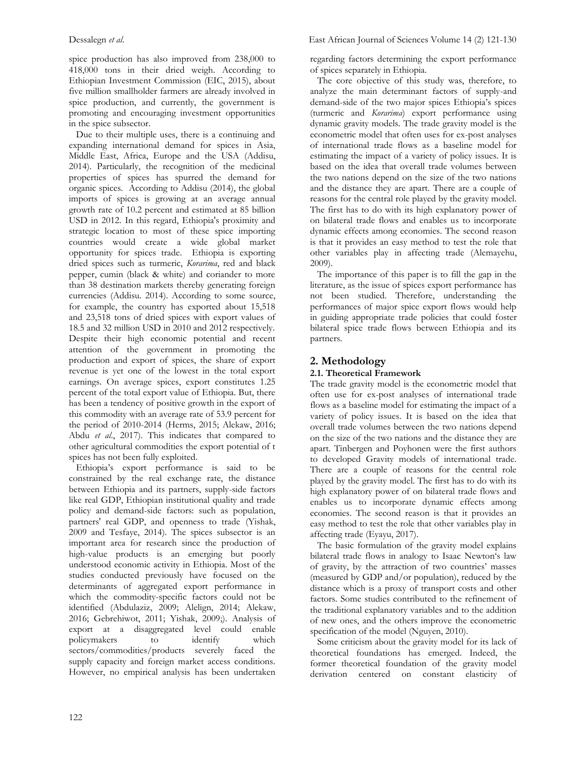spice production has also improved from 238,000 to 418,000 tons in their dried weigh. According to Ethiopian Investment Commission (EIC, 2015), about five million smallholder farmers are already involved in spice production, and currently, the government is promoting and encouraging investment opportunities in the spice subsector.

 Due to their multiple uses, there is a continuing and expanding international demand for spices in Asia, Middle East, Africa, Europe and the USA (Addisu, 2014). Particularly, the recognition of the medicinal properties of spices has spurred the demand for organic spices. According to Addisu (2014), the global imports of spices is growing at an average annual growth rate of 10.2 percent and estimated at 85 billion USD in 2012. In this regard, Ethiopia's proximity and strategic location to most of these spice importing countries would create a wide global market opportunity for spices trade. Ethiopia is exporting dried spices such as turmeric, *Korarima*, red and black pepper, cumin (black & white) and coriander to more than 38 destination markets thereby generating foreign currencies (Addisu. 2014). According to some source, for example, the country has exported about 15,518 and 23,518 tons of dried spices with export values of 18.5 and 32 million USD in 2010 and 2012 respectively. Despite their high economic potential and recent attention of the government in promoting the production and export of spices, the share of export revenue is yet one of the lowest in the total export earnings. On average spices, export constitutes 1.25 percent of the total export value of Ethiopia. But, there has been a tendency of positive growth in the export of this commodity with an average rate of 53.9 percent for the period of 2010-2014 (Herms, 2015; Alekaw, 2016; Abdu *et al*., 2017). This indicates that compared to other agricultural commodities the export potential of t spices has not been fully exploited.

 Ethiopia's export performance is said to be constrained by the real exchange rate, the distance between Ethiopia and its partners, supply-side factors like real GDP, Ethiopian institutional quality and trade policy and demand-side factors: such as population, partners' real GDP, and openness to trade (Yishak, 2009 and Tesfaye, 2014). The spices subsector is an important area for research since the production of high-value products is an emerging but poorly understood economic activity in Ethiopia. Most of the studies conducted previously have focused on the determinants of aggregated export performance in which the commodity-specific factors could not be identified (Abdulaziz, 2009; Alelign, 2014; Alekaw, 2016; Gebrehiwot, 2011; Yishak, 2009;). Analysis of export at a disaggregated level could enable policymakers to identify which sectors/commodities/products severely faced the supply capacity and foreign market access conditions. However, no empirical analysis has been undertaken

regarding factors determining the export performance of spices separately in Ethiopia.

 The core objective of this study was, therefore, to analyze the main determinant factors of supply-and demand-side of the two major spices Ethiopia's spices (turmeric and *Korarima*) export performance using dynamic gravity models. The trade gravity model is the econometric model that often uses for ex-post analyses of international trade flows as a baseline model for estimating the impact of a variety of policy issues. It is based on the idea that overall trade volumes between the two nations depend on the size of the two nations and the distance they are apart. There are a couple of reasons for the central role played by the gravity model. The first has to do with its high explanatory power of on bilateral trade flows and enables us to incorporate dynamic effects among economies. The second reason is that it provides an easy method to test the role that other variables play in affecting trade (Alemayehu, 2009).

 The importance of this paper is to fill the gap in the literature, as the issue of spices export performance has not been studied. Therefore, understanding the performances of major spice export flows would help in guiding appropriate trade policies that could foster bilateral spice trade flows between Ethiopia and its partners.

# **2. Methodology**

#### **2.1. Theoretical Framework**

The trade gravity model is the econometric model that often use for ex-post analyses of international trade flows as a baseline model for estimating the impact of a variety of policy issues. It is based on the idea that overall trade volumes between the two nations depend on the size of the two nations and the distance they are apart. Tinbergen and Poyhonen were the first authors to developed Gravity models of international trade. There are a couple of reasons for the central role played by the gravity model. The first has to do with its high explanatory power of on bilateral trade flows and enables us to incorporate dynamic effects among economies. The second reason is that it provides an easy method to test the role that other variables play in affecting trade (Eyayu, 2017).

 The basic formulation of the gravity model explains bilateral trade flows in analogy to Isaac Newton's law of gravity, by the attraction of two countries' masses (measured by GDP and/or population), reduced by the distance which is a proxy of transport costs and other factors. Some studies contributed to the refinement of the traditional explanatory variables and to the addition of new ones, and the others improve the econometric specification of the model (Nguyen, 2010).

 Some criticism about the gravity model for its lack of theoretical foundations has emerged. Indeed, the former theoretical foundation of the gravity model derivation centered on constant elasticity of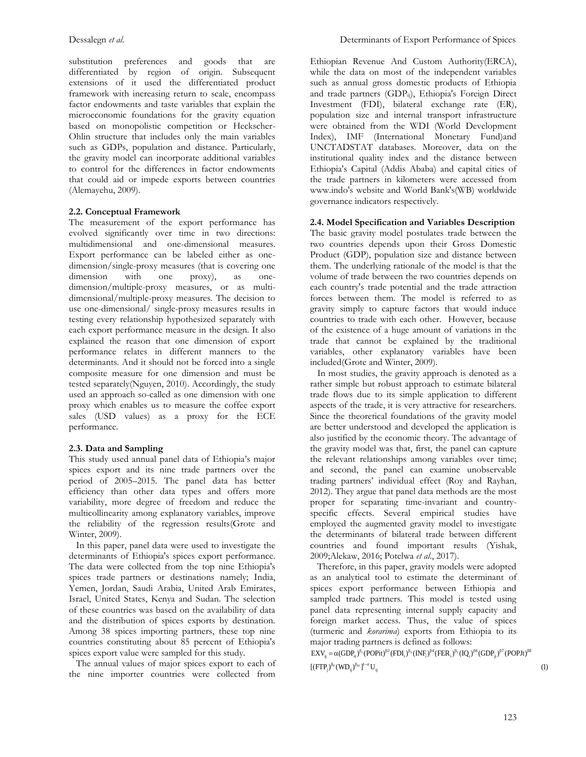substitution preferences and goods that are differentiated by region of origin. Subsequent extensions of it used the differentiated product framework with increasing return to scale, encompass factor endowments and taste variables that explain the microeconomic foundations for the gravity equation based on monopolistic competition or Heckscher-Ohlin structure that includes only the main variables such as GDPs, population and distance. Particularly, the gravity model can incorporate additional variables to control for the differences in factor endowments that could aid or impede exports between countries (Alemayehu, 2009).

## **2.2. Conceptual Framework**

The measurement of the export performance has evolved significantly over time in two directions: multidimensional and one-dimensional measures. Export performance can be labeled either as onedimension/single-proxy measures (that is covering one dimension with one proxy), as onedimension/multiple-proxy measures, or as multidimensional/multiple-proxy measures. The decision to use one-dimensional/ single-proxy measures results in testing every relationship hypothesized separately with each export performance measure in the design. It also explained the reason that one dimension of export performance relates in different manners to the determinants. And it should not be forced into a single composite measure for one dimension and must be tested separately(Nguyen, 2010). Accordingly, the study used an approach so-called as one dimension with one proxy which enables us to measure the coffee export sales (USD values) as a proxy for the ECE performance.

## **2.3. Data and Sampling**

This study used annual panel data of Ethiopia's major spices export and its nine trade partners over the period of 2005–2015. The panel data has better efficiency than other data types and offers more variability, more degree of freedom and reduce the multicollinearity among explanatory variables, improve the reliability of the regression results(Grote and Winter, 2009).

 In this paper, panel data were used to investigate the determinants of Ethiopia's spices export performance. The data were collected from the top nine Ethiopia's spices trade partners or destinations namely; India, Yemen, Jordan, Saudi Arabia, United Arab Emirates, Israel, United States, Kenya and Sudan. The selection of these countries was based on the availability of data and the distribution of spices exports by destination. Among 38 spices importing partners, these top nine countries constituting about 85 percent of Ethiopia's spices export value were sampled for this study.

 The annual values of major spices export to each of the nine importer countries were collected from

Ethiopian Revenue And Custom Authority(ERCA), while the data on most of the independent variables such as annual gross domestic products of Ethiopia and trade partners (GDP<sub>ii</sub>), Ethiopia's Foreign Direct Investment (FDI), bilateral exchange rate (ER), population size and internal transport infrastructure were obtained from the WDI (World Development Index), IMF (International Monetary Fund)and UNCTADSTAT databases. Moreover, data on the institutional quality index and the distance between Ethiopia's Capital (Addis Ababa) and capital cities of the trade partners in kilometers were accessed from www.indo's website and World Bank's(WB) worldwide governance indicators respectively.

## **2.4. Model Specification and Variables Description**

The basic gravity model postulates trade between the two countries depends upon their Gross Domestic Product (GDP), population size and distance between them. The underlying rationale of the model is that the volume of trade between the two countries depends on each country's trade potential and the trade attraction forces between them. The model is referred to as gravity simply to capture factors that would induce countries to trade with each other. However, because of the existence of a huge amount of variations in the trade that cannot be explained by the traditional variables, other explanatory variables have been included(Grote and Winter, 2009).

 In most studies, the gravity approach is denoted as a rather simple but robust approach to estimate bilateral trade flows due to its simple application to different aspects of the trade, it is very attractive for researchers. Since the theoretical foundations of the gravity model are better understood and developed the application is also justified by the economic theory. The advantage of the gravity model was that, first, the panel can capture the relevant relationships among variables over time; and second, the panel can examine unobservable trading partners' individual effect (Roy and Rayhan, 2012). They argue that panel data methods are the most proper for separating time-invariant and countryspecific effects. Several empirical studies have employed the augmented gravity model to investigate the determinants of bilateral trade between different countries and found important results (Yishak, 2009;Alekaw, 2016; Potelwa *et al*., 2017).

 Therefore, in this paper, gravity models were adopted as an analytical tool to estimate the determinant of spices export performance between Ethiopia and sampled trade partners. This model is tested using panel data representing internal supply capacity and foreign market access. Thus, the value of spices (turmeric and *korarima*) exports from Ethiopia to its major trading partners is defined as follows:

 ${\rm EXV}_{ij} = \alpha({\rm GDP}_{it})^{\beta_1}({\rm POPit})^{\beta_2}({\rm FDI}_{i})^{\beta_3}({\rm INF}_{i})^{\beta_4}({\rm FER}_{i})^{\beta_5}({\rm IQ}_{i})^{\beta_6}({\rm GDP}_{ji})^{\beta_7}({\rm POPIt})^{\beta_8}$  $[(FTP_j)^{\beta_{j_0}}(WD_{ij})^{\beta_{10}}]^{1-\sigma}U_{ij}$  (1)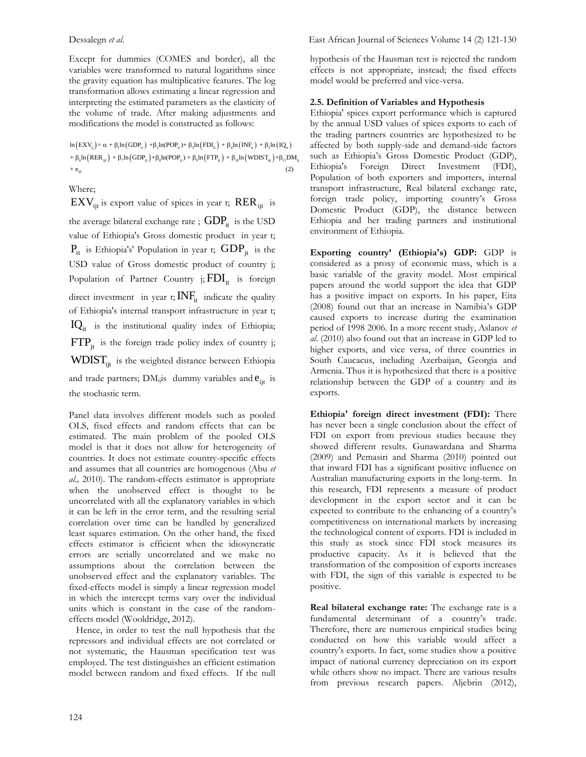Except for dummies (COMES and border), all the variables were transformed to natural logarithms since the gravity equation has multiplicative features. The log transformation allows estimating a linear regression and interpreting the estimated parameters as the elasticity of the volume of trade. After making adjustments and modifications the model is constructed as follows:

 $\ln (EXV_{ij}) = \alpha + \beta_1 \ln (GDP_{i_1}) + \beta_2 \ln (POP_{i_1}) + \beta_3 \ln (FDI_{i_1}) + \beta_4 \ln (INF_{i_1}) + \beta_5 \ln (IQ_{i_1})$  $+\beta_6 \text{ln}\left(\text{RER}_{ijt}\right)+\beta_7 \text{ln}\left(\text{GDP}_{jt}\right)+\beta_8 \text{ln}(\text{POP}_{jt})+\beta_9 \text{ln}\left(\text{FTP}_{jt}\right)+\beta_{10} \text{ln}\left(\text{WDIST}_{ijt}\right)+\beta_{11} \text{DM}_{ij}$  $+$  e<sub>ijt</sub>  $(2)$ 

Where;

 ${\rm EXV}_{\rm ijt}$  is export value of spices in year t;  ${\rm RER}_{\rm ijt}$  is

the average bilateral exchange rate ;  $\mathrm{GDP}_\mathrm{it}$  is the USD value of Ethiopia's Gross domestic product in year t;  $P_{it}$  is Ethiopia's' Population in year t;  $GDP_{it}$  is the USD value of Gross domestic product of country j; Population of Partner Country j;  $\text{FDI}_{\text{it}}$  is foreign direct investment in year t;  $INF<sub>it</sub>$  indicate the quality of Ethiopia's internal transport infrastructure in year t;  $IQ_{it}$  is the institutional quality index of Ethiopia;  $\text{FTP}_{jt}$  is the foreign trade policy index of country j;  $\text{WDIST}_{ijt}$  is the weighted distance between Ethiopia and trade partners;  $DM_{ij}$ is dummy variables and  $e_{ijt}$  is the stochastic term.

Panel data involves different models such as pooled OLS, fixed effects and random effects that can be estimated. The main problem of the pooled OLS model is that it does not allow for heterogeneity of countries. It does not estimate country-specific effects and assumes that all countries are homogenous (Abu *et al.,* 2010). The random-effects estimator is appropriate when the unobserved effect is thought to be uncorrelated with all the explanatory variables in which it can be left in the error term, and the resulting serial correlation over time can be handled by generalized least squares estimation. On the other hand, the fixed effects estimator is efficient when the idiosyncratic errors are serially uncorrelated and we make no assumptions about the correlation between the unobserved effect and the explanatory variables. The fixed-effects model is simply a linear regression model in which the intercept terms vary over the individual units which is constant in the case of the randomeffects model (Wooldridge, 2012).

 Hence, in order to test the null hypothesis that the repressors and individual effects are not correlated or not systematic, the Hausman specification test was employed. The test distinguishes an efficient estimation model between random and fixed effects. If the null hypothesis of the Hausman test is rejected the random effects is not appropriate, instead; the fixed effects model would be preferred and vice-versa.

#### **2.5. Definition of Variables and Hypothesis**

Ethiopia' spices export performance which is captured by the annual USD values of spices exports to each of the trading partners countries are hypothesized to be affected by both supply-side and demand-side factors such as Ethiopia's Gross Domestic Product (GDP), Ethiopia's Foreign Direct Investment (FDI), Population of both exporters and importers, internal transport infrastructure, Real bilateral exchange rate, foreign trade policy, importing country's Gross Domestic Product (GDP), the distance between Ethiopia and her trading partners and institutional environment of Ethiopia.

**Exporting country' (Ethiopia's) GDP:** GDP is considered as a proxy of economic mass, which is a basic variable of the gravity model. Most empirical papers around the world support the idea that GDP has a positive impact on exports. In his paper, Eita (2008) found out that an increase in Namibia's GDP caused exports to increase during the examination period of 1998 2006. In a more recent study, Aslanov *et al*. (2010) also found out that an increase in GDP led to higher exports, and vice versa, of three countries in South Caucacus, including Azerbaijan, Georgia and Armenia. Thus it is hypothesized that there is a positive relationship between the GDP of a country and its exports.

**Ethiopia' foreign direct investment (FDI):** There has never been a single conclusion about the effect of FDI on export from previous studies because they showed different results. Gunawardana and Sharma (2009) and Pemasiri and Sharma (2010) pointed out that inward FDI has a significant positive influence on Australian manufacturing exports in the long-term. In this research, FDI represents a measure of product development in the export sector and it can be expected to contribute to the enhancing of a country's competitiveness on international markets by increasing the technological content of exports. FDI is included in this study as stock since FDI stock measures its productive capacity. As it is believed that the transformation of the composition of exports increases with FDI, the sign of this variable is expected to be positive.

**Real bilateral exchange rate:** The exchange rate is a fundamental determinant of a country's trade. Therefore, there are numerous empirical studies being conducted on how this variable would affect a country's exports. In fact, some studies show a positive impact of national currency depreciation on its export while others show no impact. There are various results from previous research papers. Aljebrin (2012),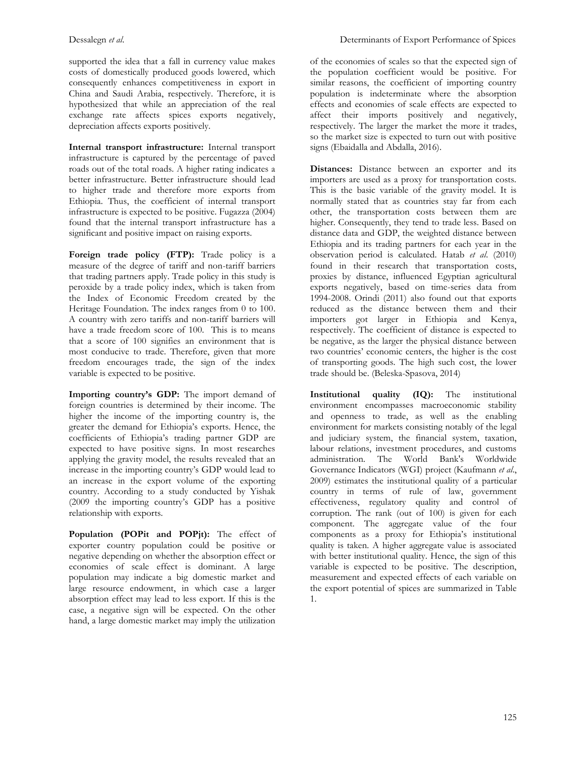supported the idea that a fall in currency value makes costs of domestically produced goods lowered, which consequently enhances competitiveness in export in China and Saudi Arabia, respectively. Therefore, it is hypothesized that while an appreciation of the real exchange rate affects spices exports negatively, depreciation affects exports positively.

**Internal transport infrastructure:** Internal transport infrastructure is captured by the percentage of paved roads out of the total roads. A higher rating indicates a better infrastructure. Better infrastructure should lead to higher trade and therefore more exports from Ethiopia. Thus, the coefficient of internal transport infrastructure is expected to be positive. Fugazza (2004) found that the internal transport infrastructure has a significant and positive impact on raising exports.

Foreign trade policy (FTP): Trade policy is a measure of the degree of tariff and non-tariff barriers that trading partners apply. Trade policy in this study is peroxide by a trade policy index, which is taken from the Index of Economic Freedom created by the Heritage Foundation. The index ranges from 0 to 100. A country with zero tariffs and non-tariff barriers will have a trade freedom score of 100. This is to means that a score of 100 signifies an environment that is most conducive to trade. Therefore, given that more freedom encourages trade, the sign of the index variable is expected to be positive.

**Importing country's GDP:** The import demand of foreign countries is determined by their income. The higher the income of the importing country is, the greater the demand for Ethiopia's exports. Hence, the coefficients of Ethiopia's trading partner GDP are expected to have positive signs. In most researches applying the gravity model, the results revealed that an increase in the importing country's GDP would lead to an increase in the export volume of the exporting country. According to a study conducted by Yishak (2009 the importing country's GDP has a positive relationship with exports.

**Population (POPit and POPjt):** The effect of exporter country population could be positive or negative depending on whether the absorption effect or economies of scale effect is dominant. A large population may indicate a big domestic market and large resource endowment, in which case a larger absorption effect may lead to less export. If this is the case, a negative sign will be expected. On the other hand, a large domestic market may imply the utilization

of the economies of scales so that the expected sign of the population coefficient would be positive. For similar reasons, the coefficient of importing country population is indeterminate where the absorption effects and economies of scale effects are expected to affect their imports positively and negatively, respectively. The larger the market the more it trades, so the market size is expected to turn out with positive signs (Ebaidalla and Abdalla, 2016).

**Distances:** Distance between an exporter and its importers are used as a proxy for transportation costs. This is the basic variable of the gravity model. It is normally stated that as countries stay far from each other, the transportation costs between them are higher. Consequently, they tend to trade less. Based on distance data and GDP, the weighted distance between Ethiopia and its trading partners for each year in the observation period is calculated. Hatab *et al*. (2010) found in their research that transportation costs, proxies by distance, influenced Egyptian agricultural exports negatively, based on time-series data from 1994-2008. Orindi (2011) also found out that exports reduced as the distance between them and their importers got larger in Ethiopia and Kenya, respectively. The coefficient of distance is expected to be negative, as the larger the physical distance between two countries' economic centers, the higher is the cost of transporting goods. The high such cost, the lower trade should be. (Beleska-Spasova, 2014)

**Institutional quality (IQ):** The institutional environment encompasses macroeconomic stability and openness to trade, as well as the enabling environment for markets consisting notably of the legal and judiciary system, the financial system, taxation, labour relations, investment procedures, and customs administration. The World Bank's Worldwide Governance Indicators (WGI) project (Kaufmann *et al*., 2009) estimates the institutional quality of a particular country in terms of rule of law, government effectiveness, regulatory quality and control of corruption. The rank (out of 100) is given for each component. The aggregate value of the four components as a proxy for Ethiopia's institutional quality is taken. A higher aggregate value is associated with better institutional quality. Hence, the sign of this variable is expected to be positive. The description, measurement and expected effects of each variable on the export potential of spices are summarized in Table 1.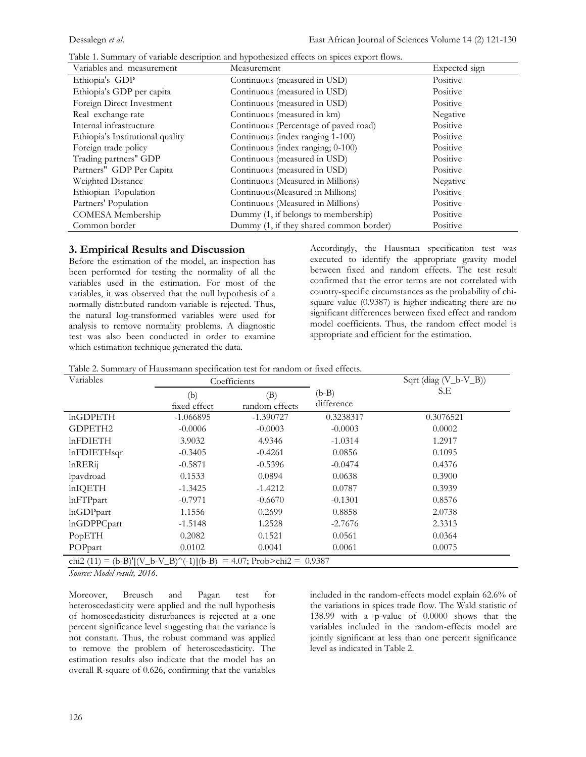| Variables and measurement        | Measurement                             | Expected sign |
|----------------------------------|-----------------------------------------|---------------|
| Ethiopia's GDP                   | Continuous (measured in USD)            | Positive      |
| Ethiopia's GDP per capita        | Continuous (measured in USD)            | Positive      |
| Foreign Direct Investment        | Continuous (measured in USD)            | Positive      |
| Real exchange rate               | Continuous (measured in km)             | Negative      |
| Internal infrastructure          | Continuous (Percentage of paved road)   | Positive      |
| Ethiopia's Institutional quality | Continuous (index ranging 1-100)        | Positive      |
| Foreign trade policy             | Continuous (index ranging; 0-100)       | Positive      |
| Trading partners" GDP            | Continuous (measured in USD)            | Positive      |
| Partners" GDP Per Capita         | Continuous (measured in USD)            | Positive      |
| Weighted Distance                | Continuous (Measured in Millions)       | Negative      |
| Ethiopian Population             | Continuous (Measured in Millions)       | Positive      |
| Partners' Population             | Continuous (Measured in Millions)       | Positive      |
| COMESA Membership                | Dummy (1, if belongs to membership)     | Positive      |
| Common border                    | Dummy (1, if they shared common border) | Positive      |

| Table 1. Summary of variable description and hypothesized effects on spices export flows. |  |  |  |
|-------------------------------------------------------------------------------------------|--|--|--|
|-------------------------------------------------------------------------------------------|--|--|--|

## **3. Empirical Results and Discussion**

Before the estimation of the model, an inspection has been performed for testing the normality of all the variables used in the estimation. For most of the variables, it was observed that the null hypothesis of a normally distributed random variable is rejected. Thus, the natural log-transformed variables were used for analysis to remove normality problems. A diagnostic test was also been conducted in order to examine which estimation technique generated the data.

Accordingly, the Hausman specification test was executed to identify the appropriate gravity model between fixed and random effects. The test result confirmed that the error terms are not correlated with country-specific circumstances as the probability of chisquare value (0.9387) is higher indicating there are no significant differences between fixed effect and random model coefficients. Thus, the random effect model is appropriate and efficient for the estimation.

Table 2. Summary of Haussmann specification test for random or fixed effects.

| Variables                               | Coefficients        |                               |                       | Sqrt (diag $(V_b-V_B)$ ) |  |  |
|-----------------------------------------|---------------------|-------------------------------|-----------------------|--------------------------|--|--|
|                                         | (b)<br>fixed effect | (B)<br>random effects         | $(b-B)$<br>difference | S.E                      |  |  |
| $ln$ GDPETH                             | $-1.066895$         | $-1.390727$                   | 0.3238317             | 0.3076521                |  |  |
| GDPETH2                                 | $-0.0006$           | $-0.0003$                     | $-0.0003$             | 0.0002                   |  |  |
| <b>lnFDIETH</b>                         | 3.9032              | 4.9346                        | $-1.0314$             | 1.2917                   |  |  |
| lnFDIETHsqr                             | $-0.3405$           | $-0.4261$                     | 0.0856                | 0.1095                   |  |  |
| $ln$ RER <sub>ij</sub>                  | $-0.5871$           | $-0.5396$                     | $-0.0474$             | 0.4376                   |  |  |
| lpavdroad                               | 0.1533              | 0.0894                        | 0.0638                | 0.3900                   |  |  |
| <b>lnIQETH</b>                          | $-1.3425$           | $-1.4212$                     | 0.0787                | 0.3939                   |  |  |
| <b>lnFTPpart</b>                        | $-0.7971$           | $-0.6670$                     | $-0.1301$             | 0.8576                   |  |  |
| <b>lnGDPpart</b>                        | 1.1556              | 0.2699                        | 0.8858                | 2.0738                   |  |  |
| <b>lnGDPPCpart</b>                      | $-1.5148$           | 1.2528                        | $-2.7676$             | 2.3313                   |  |  |
| PopETH                                  | 0.2082              | 0.1521                        | 0.0561                | 0.0364                   |  |  |
| POPpart                                 | 0.0102              | 0.0041                        | 0.0061                | 0.0075                   |  |  |
| chi2 (11) = (b-B)'[(V_b-V_B)^(-1)](b-B) |                     | $= 4.07$ ; Prob>chi2 = 0.9387 |                       |                          |  |  |

*Source: Model result, 2016.*

Moreover, Breusch and Pagan test for heteroscedasticity were applied and the null hypothesis of homoscedasticity disturbances is rejected at a one percent significance level suggesting that the variance is not constant. Thus, the robust command was applied to remove the problem of heteroscedasticity. The estimation results also indicate that the model has an overall R-square of 0.626, confirming that the variables included in the random-effects model explain 62.6% of the variations in spices trade flow. The Wald statistic of 138.99 with a p-value of 0.0000 shows that the variables included in the random-effects model are jointly significant at less than one percent significance level as indicated in Table 2.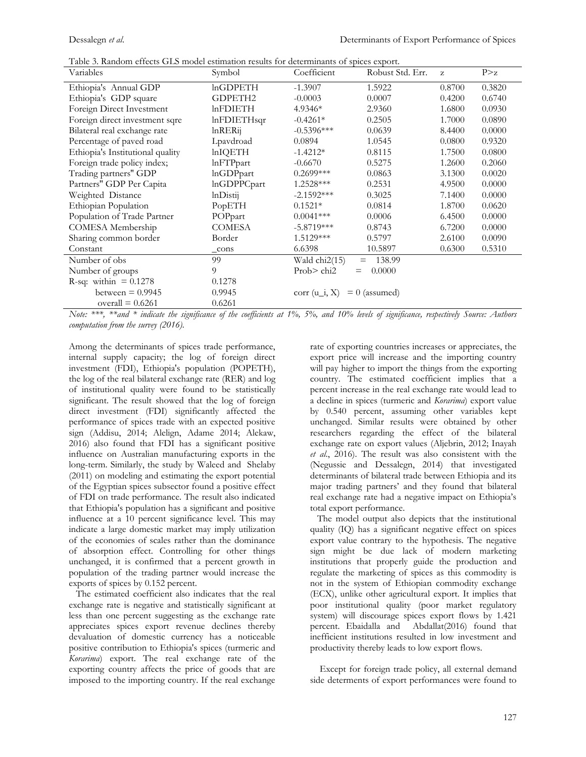| Table 3. Random effects GLS model estimation results for determinants of spices export. |  |
|-----------------------------------------------------------------------------------------|--|
|-----------------------------------------------------------------------------------------|--|

| Variables                        | Symbol             | Coefficient     | Robust Std. Err. | Z      | P > z  |
|----------------------------------|--------------------|-----------------|------------------|--------|--------|
| Ethiopia's Annual GDP            | <b>lnGDPETH</b>    | $-1.3907$       | 1.5922           | 0.8700 | 0.3820 |
| Ethiopia's GDP square            | <b>GDPETH2</b>     | $-0.0003$       | 0.0007           | 0.4200 | 0.6740 |
| Foreign Direct Investment        | <b>lnFDIETH</b>    | $4.9346*$       | 2.9360           | 1.6800 | 0.0930 |
| Foreign direct investment sqre   | $ln$ FDIET $H$ sqr | $-0.4261*$      | 0.2505           | 1.7000 | 0.0890 |
| Bilateral real exchange rate     | $ln$ RERij         | $-0.5396***$    | 0.0639           | 8.4400 | 0.0000 |
| Percentage of paved road         | Lpavdroad          | 0.0894          | 1.0545           | 0.0800 | 0.9320 |
| Ethiopia's Institutional quality | <b>lnIQETH</b>     | $-1.4212*$      | 0.8115           | 1.7500 | 0.0800 |
| Foreign trade policy index;      | <b>lnFTPpart</b>   | $-0.6670$       | 0.5275           | 1.2600 | 0.2060 |
| Trading partners" GDP            | <b>lnGDPpart</b>   | $0.2699***$     | 0.0863           | 3.1300 | 0.0020 |
| Partners" GDP Per Capita         | <b>lnGDPPCpart</b> | 1.2528***       | 0.2531           | 4.9500 | 0.0000 |
| Weighted Distance                | lnDistij           | $-2.1592***$    | 0.3025           | 7.1400 | 0.0000 |
| Ethiopian Population             | PopETH             | $0.1521*$       | 0.0814           | 1.8700 | 0.0620 |
| Population of Trade Partner      | POPpart            | $0.0041***$     | 0.0006           | 6.4500 | 0.0000 |
| COMESA Membership                | <b>COMESA</b>      | $-5.8719***$    | 0.8743           | 6.7200 | 0.0000 |
| Sharing common border            | Border             | $1.5129***$     | 0.5797           | 2.6100 | 0.0090 |
| Constant                         | cons               | 6.6398          | 10.5897          | 0.6300 | 0.5310 |
| Number of obs                    | 99                 | Wald chi2(15)   | 138.99<br>$=$    |        |        |
| Number of groups                 | 9                  | Prob> chi2      | 0.0000           |        |        |
| R-sq: within $= 0.1278$          | 0.1278             |                 |                  |        |        |
| between $= 0.9945$               | 0.9945             | corr $(u_i, X)$ | $= 0$ (assumed)  |        |        |
| overall $= 0.6261$               | 0.6261             |                 |                  |        |        |

*Note: \*\*\*, \*\*and \* indicate the significance of the coefficients at 1%, 5%, and 10% levels of significance, respectively Source: Authors computation from the survey (2016).*

Among the determinants of spices trade performance, internal supply capacity; the log of foreign direct investment (FDI), Ethiopia's population (POPETH), the log of the real bilateral exchange rate (RER) and log of institutional quality were found to be statistically significant. The result showed that the log of foreign direct investment (FDI) significantly affected the performance of spices trade with an expected positive sign (Addisu, 2014; Alelign, Adame 2014; Alekaw, 2016) also found that FDI has a significant positive influence on Australian manufacturing exports in the long-term. Similarly, the study by Waleed and Shelaby (2011) on modeling and estimating the export potential of the Egyptian spices subsector found a positive effect of FDI on trade performance. The result also indicated that Ethiopia's population has a significant and positive influence at a 10 percent significance level. This may indicate a large domestic market may imply utilization of the economies of scales rather than the dominance of absorption effect. Controlling for other things unchanged, it is confirmed that a percent growth in population of the trading partner would increase the exports of spices by 0.152 percent.

 The estimated coefficient also indicates that the real exchange rate is negative and statistically significant at less than one percent suggesting as the exchange rate appreciates spices export revenue declines thereby devaluation of domestic currency has a noticeable positive contribution to Ethiopia's spices (turmeric and *Korarima*) export. The real exchange rate of the exporting country affects the price of goods that are imposed to the importing country. If the real exchange rate of exporting countries increases or appreciates, the export price will increase and the importing country will pay higher to import the things from the exporting country. The estimated coefficient implies that a percent increase in the real exchange rate would lead to a decline in spices (turmeric and *Korarima*) export value by 0.540 percent, assuming other variables kept unchanged. Similar results were obtained by other researchers regarding the effect of the bilateral exchange rate on export values (Aljebrin, 2012; Inayah *et al*., 2016). The result was also consistent with the (Negussie and Dessalegn, 2014) that investigated determinants of bilateral trade between Ethiopia and its major trading partners' and they found that bilateral real exchange rate had a negative impact on Ethiopia's total export performance.

 The model output also depicts that the institutional quality (IQ) has a significant negative effect on spices export value contrary to the hypothesis. The negative sign might be due lack of modern marketing institutions that properly guide the production and regulate the marketing of spices as this commodity is not in the system of Ethiopian commodity exchange (ECX), unlike other agricultural export. It implies that poor institutional quality (poor market regulatory system) will discourage spices export flows by 1.421 percent. Ebaidalla and Abdallat(2016) found that inefficient institutions resulted in low investment and productivity thereby leads to low export flows.

 Except for foreign trade policy, all external demand side determents of export performances were found to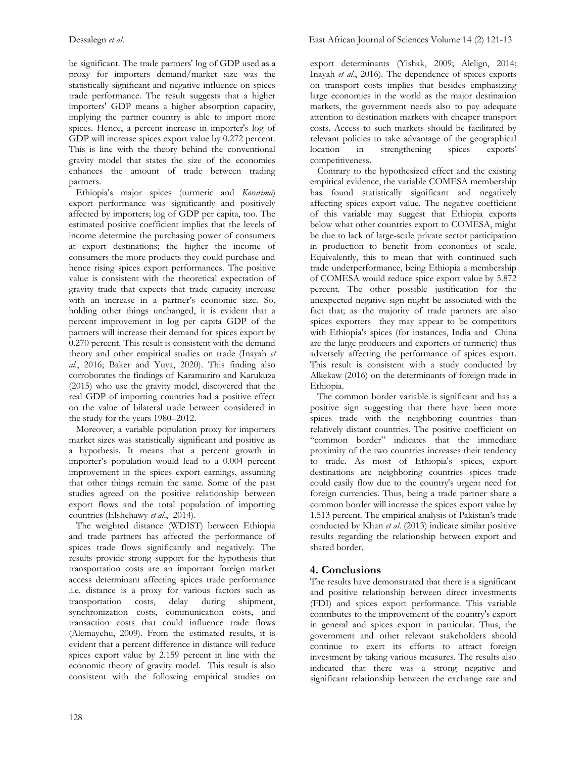be significant. The trade partners' log of GDP used as a proxy for importers demand/market size was the statistically significant and negative influence on spices trade performance. The result suggests that a higher importers' GDP means a higher absorption capacity, implying the partner country is able to import more spices. Hence, a percent increase in importer's log of GDP will increase spices export value by 0.272 percent. This is line with the theory behind the conventional gravity model that states the size of the economies enhances the amount of trade between trading partners.

 Ethiopia's major spices (turmeric and *Korarima*) export performance was significantly and positively affected by importers; log of GDP per capita, too. The estimated positive coefficient implies that the levels of income determine the purchasing power of consumers at export destinations; the higher the income of consumers the more products they could purchase and hence rising spices export performances. The positive value is consistent with the theoretical expectation of gravity trade that expects that trade capacity increase with an increase in a partner's economic size. So, holding other things unchanged, it is evident that a percent improvement in log per capita GDP of the partners will increase their demand for spices export by 0.270 percent. This result is consistent with the demand theory and other empirical studies on trade (Inayah *et al*., 2016; Baker and Yuya, 2020). This finding also corroborates the findings of Karamuriro and Karukuza (2015) who use the gravity model, discovered that the real GDP of importing countries had a positive effect on the value of bilateral trade between considered in the study for the years 1980–2012.

 Moreover, a variable population proxy for importers market sizes was statistically significant and positive as a hypothesis. It means that a percent growth in importer's population would lead to a 0.004 percent improvement in the spices export earnings, assuming that other things remain the same. Some of the past studies agreed on the positive relationship between export flows and the total population of importing countries (Elshehawy *et al*., 2014).

 The weighted distance (WDIST) between Ethiopia and trade partners has affected the performance of spices trade flows significantly and negatively. The results provide strong support for the hypothesis that transportation costs are an important foreign market access determinant affecting spices trade performance .i.e. distance is a proxy for various factors such as transportation costs, delay during shipment, synchronization costs, communication costs, and transaction costs that could influence trade flows (Alemayehu, 2009). From the estimated results, it is evident that a percent difference in distance will reduce spices export value by 2.159 percent in line with the economic theory of gravity model. This result is also consistent with the following empirical studies on

export determinants (Yishak, 2009; Alelign, 2014; Inayah *et al*., 2016). The dependence of spices exports on transport costs implies that besides emphasizing large economies in the world as the major destination markets, the government needs also to pay adequate attention to destination markets with cheaper transport costs. Access to such markets should be facilitated by relevant policies to take advantage of the geographical location in strengthening spices exports' competitiveness.

 Contrary to the hypothesized effect and the existing empirical evidence, the variable COMESA membership has found statistically significant and negatively affecting spices export value. The negative coefficient of this variable may suggest that Ethiopia exports below what other countries export to COMESA, might be due to lack of large-scale private sector participation in production to benefit from economies of scale. Equivalently, this to mean that with continued such trade underperformance, being Ethiopia a membership of COMESA would reduce spice export value by 5.872 percent. The other possible justification for the unexpected negative sign might be associated with the fact that; as the majority of trade partners are also spices exporters they may appear to be competitors with Ethiopia's spices (for instances, India and China are the large producers and exporters of turmeric) thus adversely affecting the performance of spices export. This result is consistent with a study conducted by Alkekaw (2016) on the determinants of foreign trade in Ethiopia.

 The common border variable is significant and has a positive sign suggesting that there have been more spices trade with the neighboring countries than relatively distant countries. The positive coefficient on "common border" indicates that the immediate proximity of the two countries increases their tendency to trade. As most of Ethiopia's spices, export destinations are neighboring countries spices trade could easily flow due to the country's urgent need for foreign currencies. Thus, being a trade partner share a common border will increase the spices export value by 1.513 percent. The empirical analysis of Pakistan's trade conducted by Khan *et al*. (2013) indicate similar positive results regarding the relationship between export and shared border.

# **4. Conclusions**

The results have demonstrated that there is a significant and positive relationship between direct investments (FDI) and spices export performance. This variable contributes to the improvement of the country's export in general and spices export in particular. Thus, the government and other relevant stakeholders should continue to exert its efforts to attract foreign investment by taking various measures. The results also indicated that there was a strong negative and significant relationship between the exchange rate and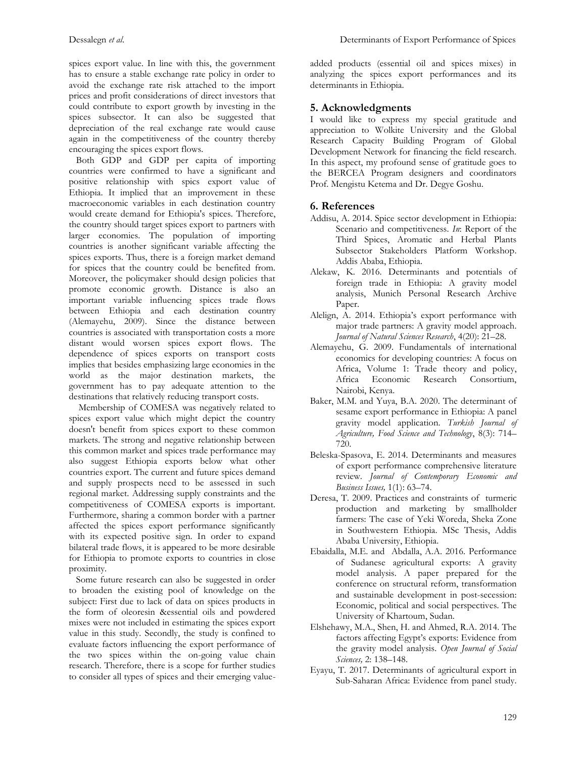spices export value. In line with this, the government has to ensure a stable exchange rate policy in order to avoid the exchange rate risk attached to the import prices and profit considerations of direct investors that could contribute to export growth by investing in the spices subsector. It can also be suggested that depreciation of the real exchange rate would cause again in the competitiveness of the country thereby encouraging the spices export flows.

 Both GDP and GDP per capita of importing countries were confirmed to have a significant and positive relationship with spics export value of Ethiopia. It implied that an improvement in these macroeconomic variables in each destination country would create demand for Ethiopia's spices. Therefore, the country should target spices export to partners with larger economies. The population of importing countries is another significant variable affecting the spices exports. Thus, there is a foreign market demand for spices that the country could be benefited from. Moreover, the policymaker should design policies that promote economic growth. Distance is also an important variable influencing spices trade flows between Ethiopia and each destination country (Alemayehu, 2009). Since the distance between countries is associated with transportation costs a more distant would worsen spices export flows. The dependence of spices exports on transport costs implies that besides emphasizing large economies in the world as the major destination markets, the government has to pay adequate attention to the destinations that relatively reducing transport costs.

 Membership of COMESA was negatively related to spices export value which might depict the country doesn't benefit from spices export to these common markets. The strong and negative relationship between this common market and spices trade performance may also suggest Ethiopia exports below what other countries export. The current and future spices demand and supply prospects need to be assessed in such regional market. Addressing supply constraints and the competitiveness of COMESA exports is important. Furthermore, sharing a common border with a partner affected the spices export performance significantly with its expected positive sign. In order to expand bilateral trade flows, it is appeared to be more desirable for Ethiopia to promote exports to countries in close proximity.

 Some future research can also be suggested in order to broaden the existing pool of knowledge on the subject: First due to lack of data on spices products in the form of oleoresin &essential oils and powdered mixes were not included in estimating the spices export value in this study. Secondly, the study is confined to evaluate factors influencing the export performance of the two spices within the on-going value chain research. Therefore, there is a scope for further studies to consider all types of spices and their emerging valueadded products (essential oil and spices mixes) in analyzing the spices export performances and its determinants in Ethiopia.

# **5. Acknowledgments**

I would like to express my special gratitude and appreciation to Wolkite University and the Global Research Capacity Building Program of Global Development Network for financing the field research. In this aspect, my profound sense of gratitude goes to the BERCEA Program designers and coordinators Prof. Mengistu Ketema and Dr. Degye Goshu.

# **6. References**

- Addisu, A. 2014. Spice sector development in Ethiopia: Scenario and competitiveness. *In*: Report of the Third Spices, Aromatic and Herbal Plants Subsector Stakeholders Platform Workshop. Addis Ababa, Ethiopia.
- Alekaw, K. 2016. Determinants and potentials of foreign trade in Ethiopia: A gravity model analysis, Munich Personal Research Archive Paper.
- Alelign, A. 2014. Ethiopia's export performance with major trade partners: A gravity model approach. *Journal of Natural Sciences Research*, 4(20): 21–28.
- Alemayehu, G. 2009. Fundamentals of international economics for developing countries: A focus on Africa, Volume 1: Trade theory and policy, Africa Economic Research Consortium, Nairobi, Kenya.
- Baker, M.M. and Yuya, B.A. 2020. The determinant of sesame export performance in Ethiopia: A panel gravity model application. *Turkish Journal of Agriculture, Food Science and Technology*, 8(3): 714– 720.
- Beleska-Spasova, E. 2014. Determinants and measures of export performance comprehensive literature review. *Journal of Contemporary Economic and Business Issues,* 1(1): 63–74.
- Deresa, T. 2009. Practices and constraints of turmeric production and marketing by smallholder farmers: The case of Yeki Woreda, Sheka Zone in Southwestern Ethiopia. MSc Thesis, Addis Ababa University, Ethiopia.
- Ebaidalla, M.E. and Abdalla, A.A. 2016. Performance of Sudanese agricultural exports: A gravity model analysis. A paper prepared for the conference on structural reform, transformation and sustainable development in post-secession: Economic, political and social perspectives. The University of Khartoum, Sudan.
- Elshehawy, M.A., Shen, H. and Ahmed, R.A. 2014. The factors affecting Egypt's exports: Evidence from the gravity model analysis. *Open Journal of Social Sciences,* 2: 138–148.
- Eyayu, T. 2017. Determinants of agricultural export in Sub-Saharan Africa: Evidence from panel study.